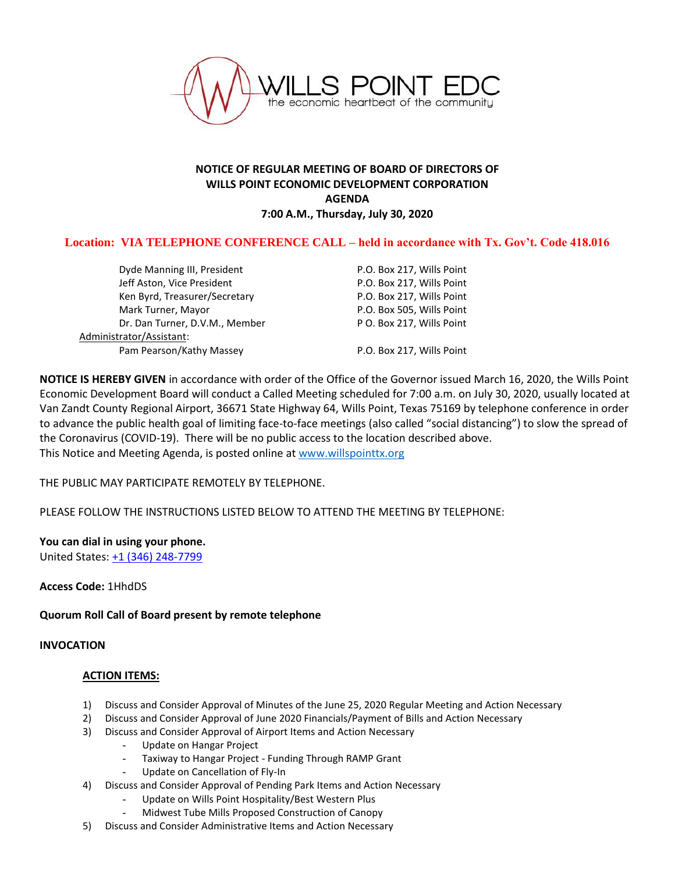

## **NOTICE OF REGULAR MEETING OF BOARD OF DIRECTORS OF WILLS POINT ECONOMIC DEVELOPMENT CORPORATION AGENDA 7:00 A.M., Thursday, July 30, 2020**

# **Location: VIA TELEPHONE CONFERENCE CALL – held in accordance with Tx. Gov't. Code 418.016**

Dyde Manning III, President **P.O. Box 217, Wills Point** Jeff Aston, Vice President **P.O. Box 217, Wills Point** Ken Byrd, Treasurer/Secretary Facebook R.O. Box 217, Wills Point Mark Turner, Mayor **P.O. Box 505, Wills Point** Dr. Dan Turner, D.V.M., Member P O. Box 217, Wills Point Administrator/Assistant: Pam Pearson/Kathy Massey P.O. Box 217, Wills Point

**NOTICE IS HEREBY GIVEN** in accordance with order of the Office of the Governor issued March 16, 2020, the Wills Point Economic Development Board will conduct a Called Meeting scheduled for 7:00 a.m. on July 30, 2020, usually located at Van Zandt County Regional Airport, 36671 State Highway 64, Wills Point, Texas 75169 by telephone conference in order to advance the public health goal of limiting face-to-face meetings (also called "social distancing") to slow the spread of the Coronavirus (COVID-19). There will be no public access to the location described above. This Notice and Meeting Agenda, is posted online at [www.willspointtx.org](http://www.willspointtx.org/)

THE PUBLIC MAY PARTICIPATE REMOTELY BY TELEPHONE.

PLEASE FOLLOW THE INSTRUCTIONS LISTED BELOW TO ATTEND THE MEETING BY TELEPHONE:

#### **You can dial in using your phone.**

United States[: +1 \(346\) 248-7799](tel:+15713173112,,775695421)

**Access Code:** 1HhdDS

**Quorum Roll Call of Board present by remote telephone**

### **INVOCATION**

#### **ACTION ITEMS:**

- 1) Discuss and Consider Approval of Minutes of the June 25, 2020 Regular Meeting and Action Necessary
- 2) Discuss and Consider Approval of June 2020 Financials/Payment of Bills and Action Necessary
- 3) Discuss and Consider Approval of Airport Items and Action Necessary
	- Update on Hangar Project
	- Taxiway to Hangar Project Funding Through RAMP Grant
	- Update on Cancellation of Fly-In
- 4) Discuss and Consider Approval of Pending Park Items and Action Necessary
	- Update on Wills Point Hospitality/Best Western Plus
	- Midwest Tube Mills Proposed Construction of Canopy
- 5) Discuss and Consider Administrative Items and Action Necessary